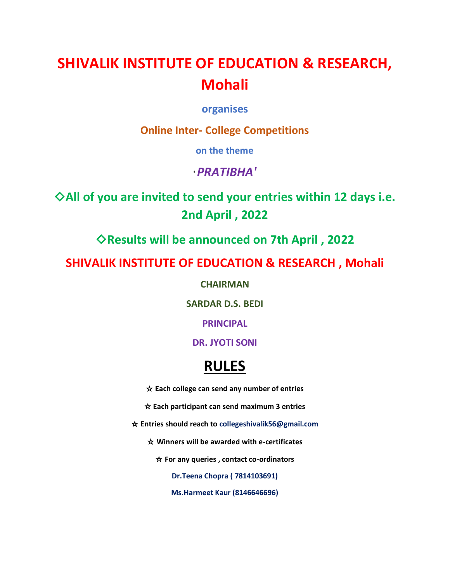# **SHIVALIK INSTITUTE OF EDUCATION & RESEARCH, Mohali**

**organises**

**Online Inter- College Competitions**

**on the theme**

# **'** *PRATIBHA'*

◇**All of you are invited to send your entries within 12 days i.e. 2nd April , 2022** 

◇**Results will be announced on 7th April , 2022**

**SHIVALIK INSTITUTE OF EDUCATION & RESEARCH , Mohali** 

**CHAIRMAN** 

**SARDAR D.S. BEDI** 

**PRINCIPAL**

# **DR. JYOTI SONI**

# **RULES**

☆ **Each college can send any number of entries**

☆ **Each participant can send maximum 3 entries**

☆ **Entries should reach to collegeshivalik56@gmail.com**

☆ **Winners will be awarded with e-certificates**

☆ **For any queries , contact co-ordinators**

**Dr.Teena Chopra ( 7814103691)**

**Ms.Harmeet Kaur (8146646696)**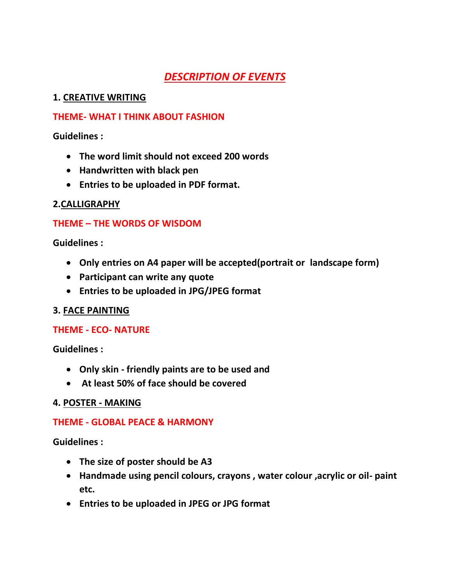# *DESCRIPTION OF EVENTS*

#### **1. CREATIVE WRITING**

#### **THEME- WHAT I THINK ABOUT FASHION**

**Guidelines :**

- **The word limit should not exceed 200 words**
- **Handwritten with black pen**
- **Entries to be uploaded in PDF format.**

## **2.CALLIGRAPHY**

# **THEME – THE WORDS OF WISDOM**

**Guidelines :**

- **Only entries on A4 paper will be accepted(portrait or landscape form)**
- **Participant can write any quote**
- **Entries to be uploaded in JPG/JPEG format**

## **3. FACE PAINTING**

## **THEME - ECO- NATURE**

**Guidelines :**

- **Only skin - friendly paints are to be used and**
- **At least 50% of face should be covered**

## **4. POSTER - MAKING**

## **THEME - GLOBAL PEACE & HARMONY**

**Guidelines :** 

- **The size of poster should be A3**
- **Handmade using pencil colours, crayons , water colour ,acrylic or oil- paint etc.**
- **Entries to be uploaded in JPEG or JPG format**